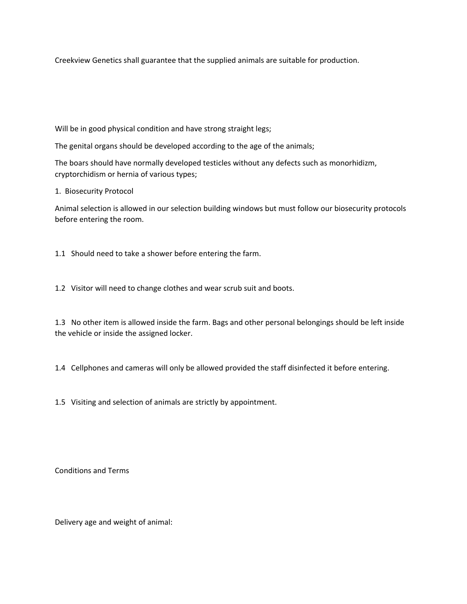Creekview Genetics shall guarantee that the supplied animals are suitable for production.

Will be in good physical condition and have strong straight legs;

The genital organs should be developed according to the age of the animals;

The boars should have normally developed testicles without any defects such as monorhidizm, cryptorchidism or hernia of various types;

1. Biosecurity Protocol

Animal selection is allowed in our selection building windows but must follow our biosecurity protocols before entering the room.

1.1 Should need to take a shower before entering the farm.

1.2 Visitor will need to change clothes and wear scrub suit and boots.

1.3 No other item is allowed inside the farm. Bags and other personal belongings should be left inside the vehicle or inside the assigned locker.

1.4 Cellphones and cameras will only be allowed provided the staff disinfected it before entering.

1.5 Visiting and selection of animals are strictly by appointment.

Conditions and Terms

Delivery age and weight of animal: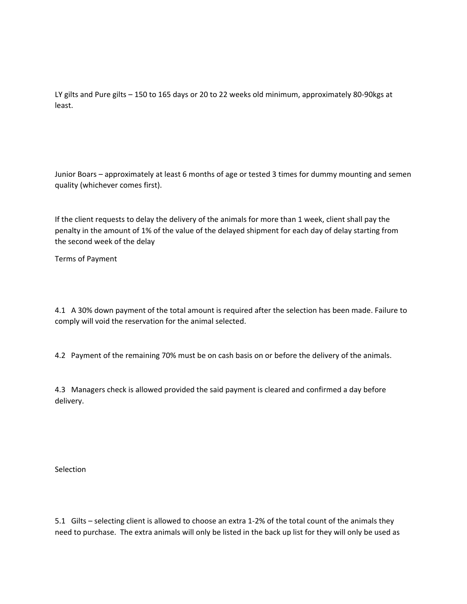LY gilts and Pure gilts – 150 to 165 days or 20 to 22 weeks old minimum, approximately 80-90kgs at least.

Junior Boars – approximately at least 6 months of age or tested 3 times for dummy mounting and semen quality (whichever comes first).

If the client requests to delay the delivery of the animals for more than 1 week, client shall pay the penalty in the amount of 1% of the value of the delayed shipment for each day of delay starting from the second week of the delay

Terms of Payment

4.1 A 30% down payment of the total amount is required after the selection has been made. Failure to comply will void the reservation for the animal selected.

4.2 Payment of the remaining 70% must be on cash basis on or before the delivery of the animals.

4.3 Managers check is allowed provided the said payment is cleared and confirmed a day before delivery.

Selection

5.1 Gilts – selecting client is allowed to choose an extra 1-2% of the total count of the animals they need to purchase. The extra animals will only be listed in the back up list for they will only be used as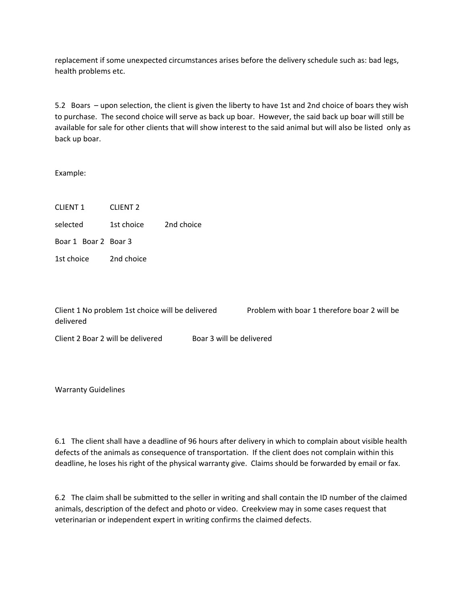replacement if some unexpected circumstances arises before the delivery schedule such as: bad legs, health problems etc.

5.2 Boars – upon selection, the client is given the liberty to have 1st and 2nd choice of boars they wish to purchase. The second choice will serve as back up boar. However, the said back up boar will still be available for sale for other clients that will show interest to the said animal but will also be listed only as back up boar.

Example:

CLIENT 1 CLIENT 2 selected 1st choice 2nd choice Boar 1 Boar 2 Boar 3 1st choice 2nd choice

Client 1 No problem 1st choice will be delivered Problem with boar 1 therefore boar 2 will be delivered

Client 2 Boar 2 will be delivered Boar 3 will be delivered

Warranty Guidelines

6.1 The client shall have a deadline of 96 hours after delivery in which to complain about visible health defects of the animals as consequence of transportation. If the client does not complain within this deadline, he loses his right of the physical warranty give. Claims should be forwarded by email or fax.

6.2 The claim shall be submitted to the seller in writing and shall contain the ID number of the claimed animals, description of the defect and photo or video. Creekview may in some cases request that veterinarian or independent expert in writing confirms the claimed defects.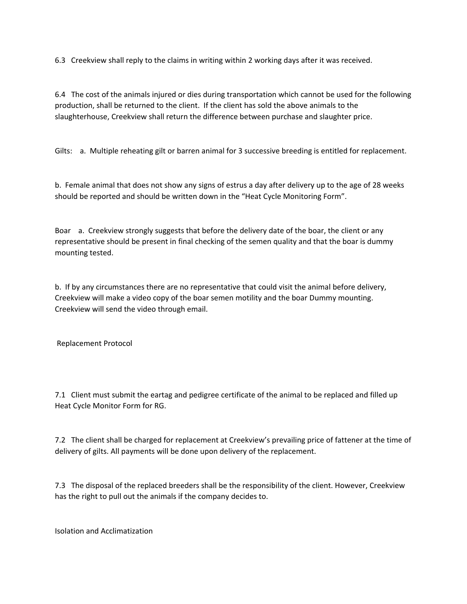6.3 Creekview shall reply to the claims in writing within 2 working days after it was received.

6.4 The cost of the animals injured or dies during transportation which cannot be used for the following production, shall be returned to the client. If the client has sold the above animals to the slaughterhouse, Creekview shall return the difference between purchase and slaughter price.

Gilts: a. Multiple reheating gilt or barren animal for 3 successive breeding is entitled for replacement.

b. Female animal that does not show any signs of estrus a day after delivery up to the age of 28 weeks should be reported and should be written down in the "Heat Cycle Monitoring Form".

Boar a. Creekview strongly suggests that before the delivery date of the boar, the client or any representative should be present in final checking of the semen quality and that the boar is dummy mounting tested.

b. If by any circumstances there are no representative that could visit the animal before delivery, Creekview will make a video copy of the boar semen motility and the boar Dummy mounting. Creekview will send the video through email.

Replacement Protocol

7.1 Client must submit the eartag and pedigree certificate of the animal to be replaced and filled up Heat Cycle Monitor Form for RG.

7.2 The client shall be charged for replacement at Creekview's prevailing price of fattener at the time of delivery of gilts. All payments will be done upon delivery of the replacement.

7.3 The disposal of the replaced breeders shall be the responsibility of the client. However, Creekview has the right to pull out the animals if the company decides to.

Isolation and Acclimatization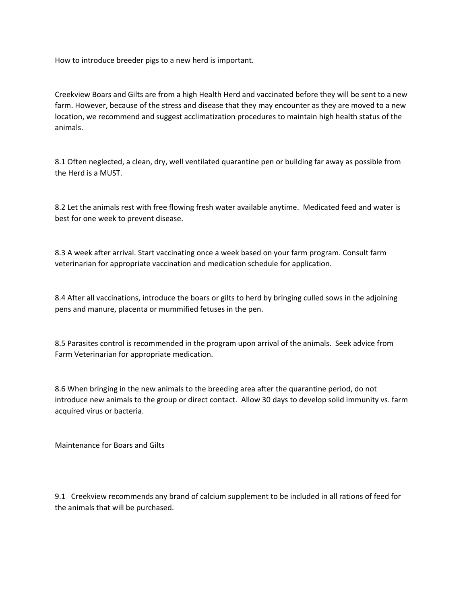How to introduce breeder pigs to a new herd is important.

Creekview Boars and Gilts are from a high Health Herd and vaccinated before they will be sent to a new farm. However, because of the stress and disease that they may encounter as they are moved to a new location, we recommend and suggest acclimatization procedures to maintain high health status of the animals.

8.1 Often neglected, a clean, dry, well ventilated quarantine pen or building far away as possible from the Herd is a MUST.

8.2 Let the animals rest with free flowing fresh water available anytime. Medicated feed and water is best for one week to prevent disease.

8.3 A week after arrival. Start vaccinating once a week based on your farm program. Consult farm veterinarian for appropriate vaccination and medication schedule for application.

8.4 After all vaccinations, introduce the boars or gilts to herd by bringing culled sows in the adjoining pens and manure, placenta or mummified fetuses in the pen.

8.5 Parasites control is recommended in the program upon arrival of the animals. Seek advice from Farm Veterinarian for appropriate medication.

8.6 When bringing in the new animals to the breeding area after the quarantine period, do not introduce new animals to the group or direct contact. Allow 30 days to develop solid immunity vs. farm acquired virus or bacteria.

Maintenance for Boars and Gilts

9.1 Creekview recommends any brand of calcium supplement to be included in all rations of feed for the animals that will be purchased.